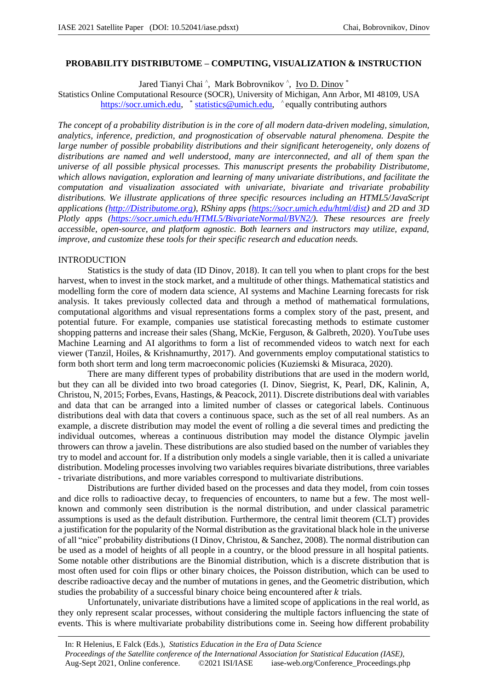### **PROBABILITY DISTRIBUTOME – COMPUTING, VISUALIZATION & INSTRUCTION**

Jared Tianyi Chai ^, Mark Bobrovnikov ^, Ivo D. Dinov \*

Statistics Online Computational Resource (SOCR), University of Michigan, Ann Arbor, MI 48109, USA https://socr.umich.edu, \* statistics@umich.edu, ^equally contributing authors

*The concept of a probability distribution is in the core of all modern data-driven modeling, simulation, analytics, inference, prediction, and prognostication of observable natural phenomena. Despite the large number of possible probability distributions and their significant heterogeneity, only dozens of distributions are named and well understood, many are interconnected, and all of them span the universe of all possible physical processes. This manuscript presents the probability Distributome, which allows navigation, exploration and learning of many univariate distributions, and facilitate the computation and visualization associated with univariate, bivariate and trivariate probability distributions. We illustrate applications of three specific resources including an HTML5/JavaScript applications (http://Distributome.org), RShiny apps (https://socr.umich.edu/html/dist) and 2D and 3D Plotly apps (https://socr.umich.edu/HTML5/BivariateNormal/BVN2/). These resources are freely accessible, open-source, and platform agnostic. Both learners and instructors may utilize, expand, improve, and customize these tools for their specific research and education needs.*

#### INTRODUCTION

Statistics is the study of data (ID Dinov, 2018). It can tell you when to plant crops for the best harvest, when to invest in the stock market, and a multitude of other things. Mathematical statistics and modelling form the core of modern data science, AI systems and Machine Learning forecasts for risk analysis. It takes previously collected data and through a method of mathematical formulations, computational algorithms and visual representations forms a complex story of the past, present, and potential future. For example, companies use statistical forecasting methods to estimate customer shopping patterns and increase their sales (Shang, McKie, Ferguson, & Galbreth, 2020). YouTube uses Machine Learning and AI algorithms to form a list of recommended videos to watch next for each viewer (Tanzil, Hoiles, & Krishnamurthy, 2017). And governments employ computational statistics to form both short term and long term macroeconomic policies (Kuziemski & Misuraca, 2020).

There are many different types of probability distributions that are used in the modern world, but they can all be divided into two broad categories (I. Dinov, Siegrist, K, Pearl, DK, Kalinin, A, Christou, N, 2015; Forbes, Evans, Hastings, & Peacock, 2011). Discrete distributions deal with variables and data that can be arranged into a limited number of classes or categorical labels. Continuous distributions deal with data that covers a continuous space, such as the set of all real numbers. As an example, a discrete distribution may model the event of rolling a die several times and predicting the individual outcomes, whereas a continuous distribution may model the distance Olympic javelin throwers can throw a javelin. These distributions are also studied based on the number of variables they try to model and account for. If a distribution only models a single variable, then it is called a univariate distribution. Modeling processes involving two variables requires bivariate distributions, three variables - trivariate distributions, and more variables correspond to multivariate distributions.

Distributions are further divided based on the processes and data they model, from coin tosses and dice rolls to radioactive decay, to frequencies of encounters, to name but a few. The most wellknown and commonly seen distribution is the normal distribution, and under classical parametric assumptions is used as the default distribution. Furthermore, the central limit theorem (CLT) provides a justification for the popularity of the Normal distribution as the gravitational black hole in the universe of all "nice" probability distributions (I Dinov, Christou, & Sanchez, 2008). The normal distribution can be used as a model of heights of all people in a country, or the blood pressure in all hospital patients. Some notable other distributions are the Binomial distribution, which is a discrete distribution that is most often used for coin flips or other binary choices, the Poisson distribution, which can be used to describe radioactive decay and the number of mutations in genes, and the Geometric distribution, which studies the probability of a successful binary choice being encountered after  $k$  trials.

Unfortunately, univariate distributions have a limited scope of applications in the real world, as they only represent scalar processes, without considering the multiple factors influencing the state of events. This is where multivariate probability distributions come in. Seeing how different probability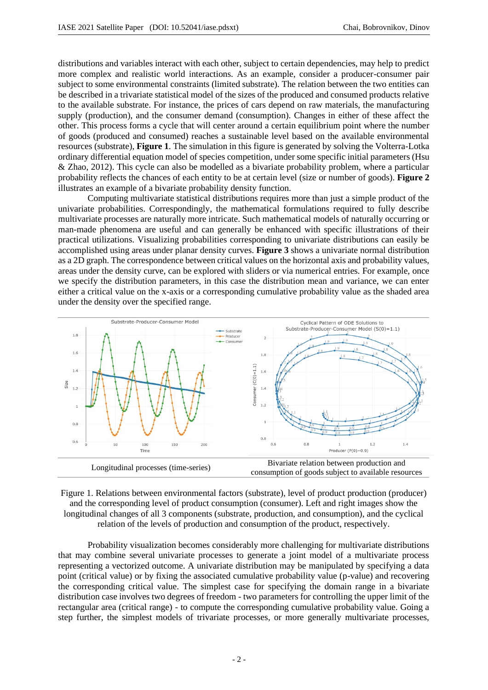distributions and variables interact with each other, subject to certain dependencies, may help to predict more complex and realistic world interactions. As an example, consider a producer-consumer pair subject to some environmental constraints (limited substrate). The relation between the two entities can be described in a trivariate statistical model of the sizes of the produced and consumed products relative to the available substrate. For instance, the prices of cars depend on raw materials, the manufacturing supply (production), and the consumer demand (consumption). Changes in either of these affect the other. This process forms a cycle that will center around a certain equilibrium point where the number of goods (produced and consumed) reaches a sustainable level based on the available environmental resources (substrate), **Figure 1**. The simulation in this figure is generated by solving the Volterra-Lotka ordinary differential equation model of species competition, under some specific initial parameters (Hsu & Zhao, 2012). This cycle can also be modelled as a bivariate probability problem, where a particular probability reflects the chances of each entity to be at certain level (size or number of goods). **Figure 2** illustrates an example of a bivariate probability density function.

Computing multivariate statistical distributions requires more than just a simple product of the univariate probabilities. Correspondingly, the mathematical formulations required to fully describe multivariate processes are naturally more intricate. Such mathematical models of naturally occurring or man-made phenomena are useful and can generally be enhanced with specific illustrations of their practical utilizations. Visualizing probabilities corresponding to univariate distributions can easily be accomplished using areas under planar density curves. **Figure 3** shows a univariate normal distribution as a 2D graph. The correspondence between critical values on the horizontal axis and probability values, areas under the density curve, can be explored with sliders or via numerical entries. For example, once we specify the distribution parameters, in this case the distribution mean and variance, we can enter either a critical value on the x-axis or a corresponding cumulative probability value as the shaded area under the density over the specified range.





Probability visualization becomes considerably more challenging for multivariate distributions that may combine several univariate processes to generate a joint model of a multivariate process representing a vectorized outcome. A univariate distribution may be manipulated by specifying a data point (critical value) or by fixing the associated cumulative probability value (p-value) and recovering the corresponding critical value. The simplest case for specifying the domain range in a bivariate distribution case involves two degrees of freedom - two parameters for controlling the upper limit of the rectangular area (critical range) - to compute the corresponding cumulative probability value. Going a step further, the simplest models of trivariate processes, or more generally multivariate processes,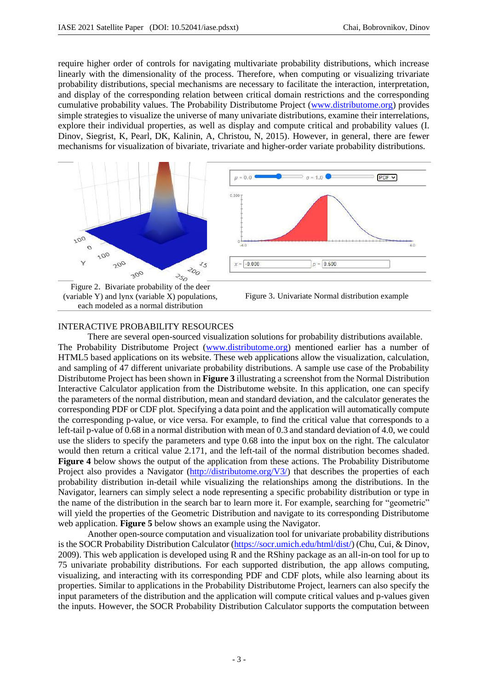require higher order of controls for navigating multivariate probability distributions, which increase linearly with the dimensionality of the process. Therefore, when computing or visualizing trivariate probability distributions, special mechanisms are necessary to facilitate the interaction, interpretation, and display of the corresponding relation between critical domain restrictions and the corresponding cumulative probability values. The Probability Distributome Project (www.distributome.org) provides simple strategies to visualize the universe of many univariate distributions, examine their interrelations, explore their individual properties, as well as display and compute critical and probability values (I. Dinov, Siegrist, K, Pearl, DK, Kalinin, A, Christou, N, 2015). However, in general, there are fewer mechanisms for visualization of bivariate, trivariate and higher-order variate probability distributions.



each modeled as a normal distribution

Figure 3. Univariate Normal distribution example

# INTERACTIVE PROBABILITY RESOURCES

There are several open-sourced visualization solutions for probability distributions available. The Probability Distributome Project (www.distributome.org) mentioned earlier has a number of HTML5 based applications on its website. These web applications allow the visualization, calculation, and sampling of 47 different univariate probability distributions. A sample use case of the Probability Distributome Project has been shown in **Figure 3** illustrating a screenshot from the Normal Distribution Interactive Calculator application from the Distributome website. In this application, one can specify the parameters of the normal distribution, mean and standard deviation, and the calculator generates the corresponding PDF or CDF plot. Specifying a data point and the application will automatically compute the corresponding p-value, or vice versa. For example, to find the critical value that corresponds to a left-tail p-value of 0.68 in a normal distribution with mean of 0.3 and standard deviation of 4.0, we could use the sliders to specify the parameters and type 0.68 into the input box on the right. The calculator would then return a critical value 2.171, and the left-tail of the normal distribution becomes shaded. **Figure 4** below shows the output of the application from these actions. The Probability Distributome Project also provides a Navigator (http://distributome.org/V3/) that describes the properties of each probability distribution in-detail while visualizing the relationships among the distributions. In the Navigator, learners can simply select a node representing a specific probability distribution or type in the name of the distribution in the search bar to learn more it. For example, searching for "geometric" will yield the properties of the Geometric Distribution and navigate to its corresponding Distributome web application. **Figure 5** below shows an example using the Navigator.

Another open-source computation and visualization tool for univariate probability distributions is the SOCR Probability Distribution Calculator (https://socr.umich.edu/html/dist/) (Chu, Cui, & Dinov, 2009). This web application is developed using R and the RShiny package as an all-in-on tool for up to 75 univariate probability distributions. For each supported distribution, the app allows computing, visualizing, and interacting with its corresponding PDF and CDF plots, while also learning about its properties. Similar to applications in the Probability Distributome Project, learners can also specify the input parameters of the distribution and the application will compute critical values and p-values given the inputs. However, the SOCR Probability Distribution Calculator supports the computation between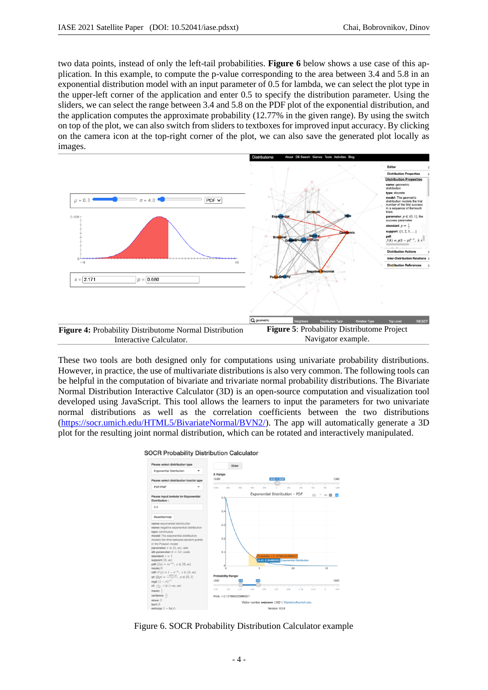two data points, instead of only the left-tail probabilities. **Figure 6** below shows a use case of this application. In this example, to compute the p-value corresponding to the area between 3.4 and 5.8 in an exponential distribution model with an input parameter of 0.5 for lambda, we can select the plot type in the upper-left corner of the application and enter 0.5 to specify the distribution parameter. Using the sliders, we can select the range between 3.4 and 5.8 on the PDF plot of the exponential distribution, and the application computes the approximate probability (12.77% in the given range). By using the switch on top of the plot, we can also switch from sliders to textboxes for improved input accuracy. By clicking on the camera icon at the top-right corner of the plot, we can also save the generated plot locally as images.



These two tools are both designed only for computations using univariate probability distributions. However, in practice, the use of multivariate distributions is also very common. The following tools can be helpful in the computation of bivariate and trivariate normal probability distributions. The Bivariate Normal Distribution Interactive Calculator (3D) is an open-source computation and visualization tool developed using JavaScript. This tool allows the learners to input the parameters for two univariate normal distributions as well as the correlation coefficients between the two distributions (https://socr.umich.edu/HTML5/BivariateNormal/BVN2/). The app will automatically generate a 3D plot for the resulting joint normal distribution, which can be rotated and interactively manipulated.



Figure 6. SOCR Probability Distribution Calculator example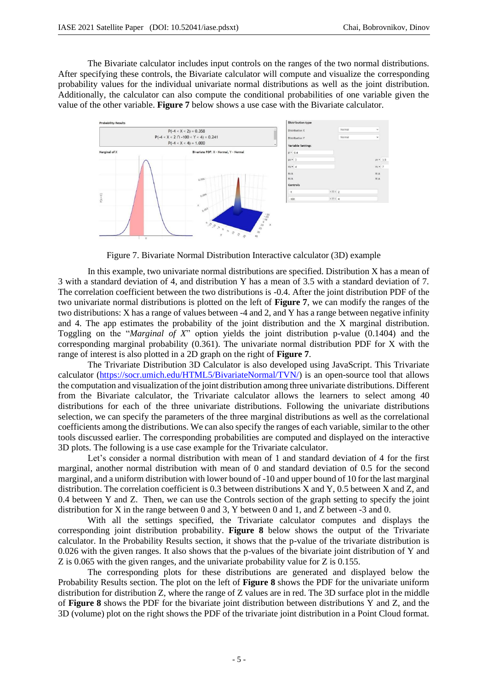The Bivariate calculator includes input controls on the ranges of the two normal distributions. After specifying these controls, the Bivariate calculator will compute and visualize the corresponding probability values for the individual univariate normal distributions as well as the joint distribution. Additionally, the calculator can also compute the conditional probabilities of one variable given the value of the other variable. **Figure 7** below shows a use case with the Bivariate calculator.



Figure 7. Bivariate Normal Distribution Interactive calculator (3D) example

In this example, two univariate normal distributions are specified. Distribution X has a mean of 3 with a standard deviation of 4, and distribution Y has a mean of 3.5 with a standard deviation of 7. The correlation coefficient between the two distributions is -0.4. After the joint distribution PDF of the two univariate normal distributions is plotted on the left of **Figure 7**, we can modify the ranges of the two distributions: X has a range of values between -4 and 2, and Y has a range between negative infinity and 4. The app estimates the probability of the joint distribution and the X marginal distribution. Toggling on the "*Marginal of X*" option yields the joint distribution p-value (0.1404) and the corresponding marginal probability (0.361). The univariate normal distribution PDF for X with the range of interest is also plotted in a 2D graph on the right of **Figure 7**.

The Trivariate Distribution 3D Calculator is also developed using JavaScript. This Trivariate calculator (https://socr.umich.edu/HTML5/BivariateNormal/TVN/) is an open-source tool that allows the computation and visualization of the joint distribution among three univariate distributions. Different from the Bivariate calculator, the Trivariate calculator allows the learners to select among 40 distributions for each of the three univariate distributions. Following the univariate distributions selection, we can specify the parameters of the three marginal distributions as well as the correlational coefficients among the distributions. We can also specify the ranges of each variable, similar to the other tools discussed earlier. The corresponding probabilities are computed and displayed on the interactive 3D plots. The following is a use case example for the Trivariate calculator.

Let's consider a normal distribution with mean of 1 and standard deviation of 4 for the first marginal, another normal distribution with mean of 0 and standard deviation of 0.5 for the second marginal, and a uniform distribution with lower bound of -10 and upper bound of 10 for the last marginal distribution. The correlation coefficient is 0.3 between distributions X and Y, 0.5 between X and Z, and 0.4 between Y and Z. Then, we can use the Controls section of the graph setting to specify the joint distribution for X in the range between 0 and 3, Y between 0 and 1, and Z between -3 and 0.

With all the settings specified, the Trivariate calculator computes and displays the corresponding joint distribution probability. **Figure 8** below shows the output of the Trivariate calculator. In the Probability Results section, it shows that the p-value of the trivariate distribution is 0.026 with the given ranges. It also shows that the p-values of the bivariate joint distribution of Y and Z is 0.065 with the given ranges, and the univariate probability value for Z is 0.155.

The corresponding plots for these distributions are generated and displayed below the Probability Results section. The plot on the left of **Figure 8** shows the PDF for the univariate uniform distribution for distribution Z, where the range of Z values are in red. The 3D surface plot in the middle of **Figure 8** shows the PDF for the bivariate joint distribution between distributions Y and Z, and the 3D (volume) plot on the right shows the PDF of the trivariate joint distribution in a Point Cloud format.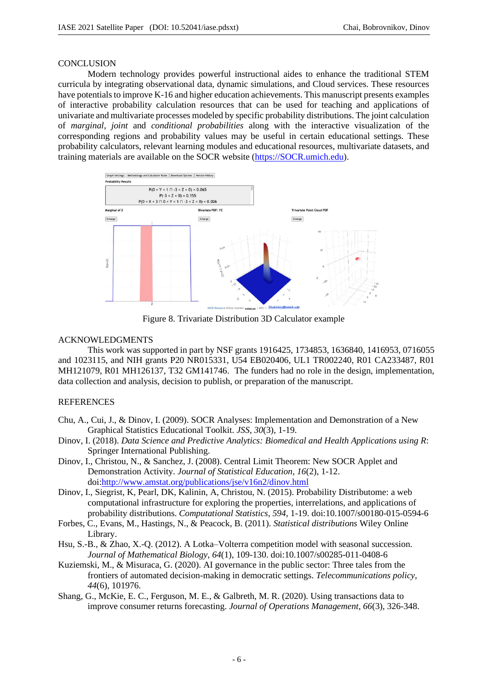#### **CONCLUSION**

Modern technology provides powerful instructional aides to enhance the traditional STEM curricula by integrating observational data, dynamic simulations, and Cloud services. These resources have potentials to improve K-16 and higher education achievements. This manuscript presents examples of interactive probability calculation resources that can be used for teaching and applications of univariate and multivariate processes modeled by specific probability distributions. The joint calculation of *marginal*, *joint* and *conditional probabilities* along with the interactive visualization of the corresponding regions and probability values may be useful in certain educational settings. These probability calculators, relevant learning modules and educational resources, multivariate datasets, and training materials are available on the SOCR website (https://SOCR.umich.edu).



Figure 8. Trivariate Distribution 3D Calculator example

### ACKNOWLEDGMENTS

This work was supported in part by NSF grants 1916425, 1734853, 1636840, 1416953, 0716055 and 1023115, and NIH grants P20 NR015331, U54 EB020406, UL1 TR002240, R01 CA233487, R01 MH121079, R01 MH126137, T32 GM141746. The funders had no role in the design, implementation, data collection and analysis, decision to publish, or preparation of the manuscript.

# **REFERENCES**

- Chu, A., Cui, J., & Dinov, I. (2009). SOCR Analyses: Implementation and Demonstration of a New Graphical Statistics Educational Toolkit. *JSS, 30*(3), 1-19.
- Dinov, I. (2018). *Data Science and Predictive Analytics: Biomedical and Health Applications using R*: Springer International Publishing.
- Dinov, I., Christou, N., & Sanchez, J. (2008). Central Limit Theorem: New SOCR Applet and Demonstration Activity. *Journal of Statistical Education, 16*(2), 1-12. doi:http://www.amstat.org/publications/jse/v16n2/dinov.html
- Dinov, I., Siegrist, K, Pearl, DK, Kalinin, A, Christou, N. (2015). Probability Distributome: a web computational infrastructure for exploring the properties, interrelations, and applications of probability distributions. *Computational Statistics, 594*, 1-19. doi:10.1007/s00180-015-0594-6
- Forbes, C., Evans, M., Hastings, N., & Peacock, B. (2011). *Statistical distributions* Wiley Online Library.
- Hsu, S.-B., & Zhao, X.-Q. (2012). A Lotka–Volterra competition model with seasonal succession. *Journal of Mathematical Biology, 64*(1), 109-130. doi:10.1007/s00285-011-0408-6
- Kuziemski, M., & Misuraca, G. (2020). AI governance in the public sector: Three tales from the frontiers of automated decision-making in democratic settings. *Telecommunications policy, 44*(6), 101976.
- Shang, G., McKie, E. C., Ferguson, M. E., & Galbreth, M. R. (2020). Using transactions data to improve consumer returns forecasting. *Journal of Operations Management, 66*(3), 326-348.